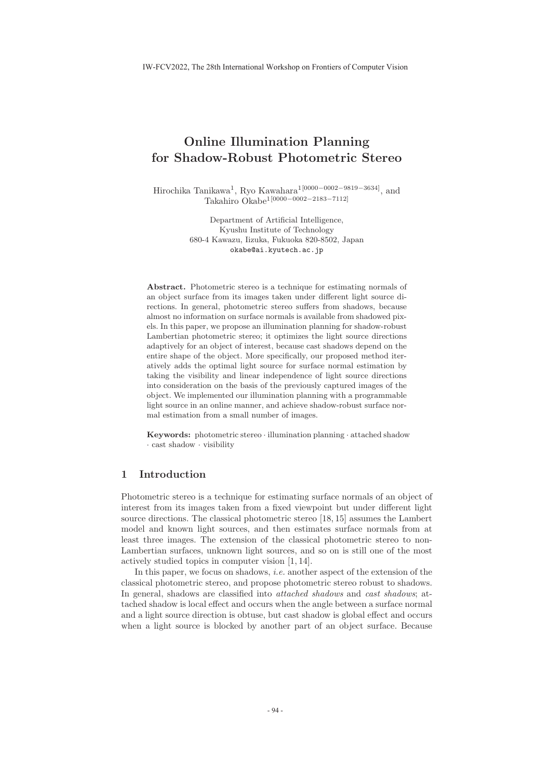# **Online Illumination Planning for Shadow-Robust Photometric Stereo**

Hirochika Tanikawa<sup>1</sup>, Ryo Kawahara1[0000−0002−9819−3634], and Takahiro Okabe1[0000−0002−2183−7112]

> Department of Artificial Intelligence, Kyushu Institute of Technology 680-4 Kawazu, Iizuka, Fukuoka 820-8502, Japan okabe@ai.kyutech.ac.jp

**Abstract.** Photometric stereo is a technique for estimating normals of an object surface from its images taken under different light source directions. In general, photometric stereo suffers from shadows, because almost no information on surface normals is available from shadowed pixels. In this paper, we propose an illumination planning for shadow-robust Lambertian photometric stereo; it optimizes the light source directions adaptively for an object of interest, because cast shadows depend on the entire shape of the object. More specifically, our proposed method iteratively adds the optimal light source for surface normal estimation by taking the visibility and linear independence of light source directions into consideration on the basis of the previously captured images of the object. We implemented our illumination planning with a programmable light source in an online manner, and achieve shadow-robust surface normal estimation from a small number of images.

**Keywords:** photometric stereo · illumination planning · attached shadow · cast shadow · visibility

# **1 Introduction**

Photometric stereo is a technique for estimating surface normals of an object of interest from its images taken from a fixed viewpoint but under different light source directions. The classical photometric stereo [18, 15] assumes the Lambert model and known light sources, and then estimates surface normals from at least three images. The extension of the classical photometric stereo to non-Lambertian surfaces, unknown light sources, and so on is still one of the most actively studied topics in computer vision [1, 14].

In this paper, we focus on shadows, i.e. another aspect of the extension of the classical photometric stereo, and propose photometric stereo robust to shadows. In general, shadows are classified into *attached shadows* and *cast shadows*; attached shadow is local effect and occurs when the angle between a surface normal and a light source direction is obtuse, but cast shadow is global effect and occurs when a light source is blocked by another part of an object surface. Because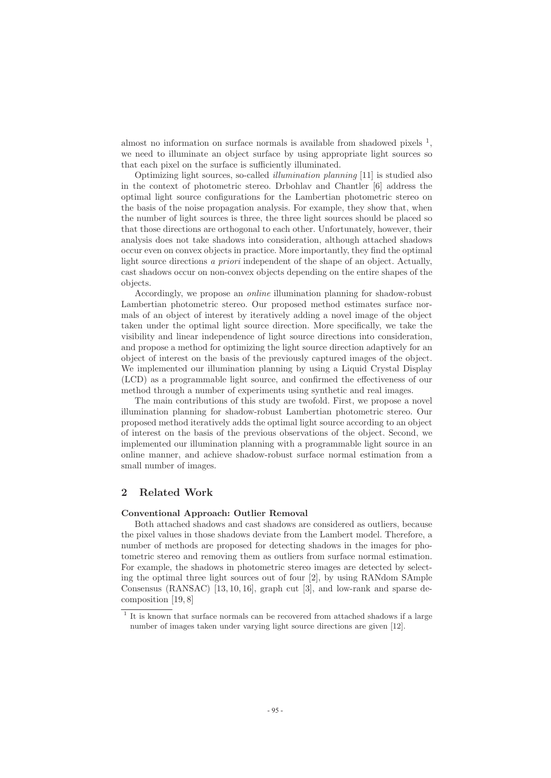almost no information on surface normals is available from shadowed pixels  $<sup>1</sup>$ ,</sup> we need to illuminate an object surface by using appropriate light sources so that each pixel on the surface is sufficiently illuminated.

Optimizing light sources, so-called illumination planning [11] is studied also in the context of photometric stereo. Drbohlav and Chantler [6] address the optimal light source configurations for the Lambertian photometric stereo on the basis of the noise propagation analysis. For example, they show that, when the number of light sources is three, the three light sources should be placed so that those directions are orthogonal to each other. Unfortunately, however, their analysis does not take shadows into consideration, although attached shadows occur even on convex objects in practice. More importantly, they find the optimal light source directions a priori independent of the shape of an object. Actually, cast shadows occur on non-convex objects depending on the entire shapes of the objects.

Accordingly, we propose an online illumination planning for shadow-robust Lambertian photometric stereo. Our proposed method estimates surface normals of an object of interest by iteratively adding a novel image of the object taken under the optimal light source direction. More specifically, we take the visibility and linear independence of light source directions into consideration, and propose a method for optimizing the light source direction adaptively for an object of interest on the basis of the previously captured images of the object. We implemented our illumination planning by using a Liquid Crystal Display (LCD) as a programmable light source, and confirmed the effectiveness of our method through a number of experiments using synthetic and real images.

The main contributions of this study are twofold. First, we propose a novel illumination planning for shadow-robust Lambertian photometric stereo. Our proposed method iteratively adds the optimal light source according to an object of interest on the basis of the previous observations of the object. Second, we implemented our illumination planning with a programmable light source in an online manner, and achieve shadow-robust surface normal estimation from a small number of images.

# **2 Related Work**

#### **Conventional Approach: Outlier Removal**

Both attached shadows and cast shadows are considered as outliers, because the pixel values in those shadows deviate from the Lambert model. Therefore, a number of methods are proposed for detecting shadows in the images for photometric stereo and removing them as outliers from surface normal estimation. For example, the shadows in photometric stereo images are detected by selecting the optimal three light sources out of four [2], by using RANdom SAmple Consensus (RANSAC) [13, 10, 16], graph cut [3], and low-rank and sparse decomposition [19, 8]

 $^{\rm 1}$  It is known that surface normals can be recovered from attached shadows if a large number of images taken under varying light source directions are given [12].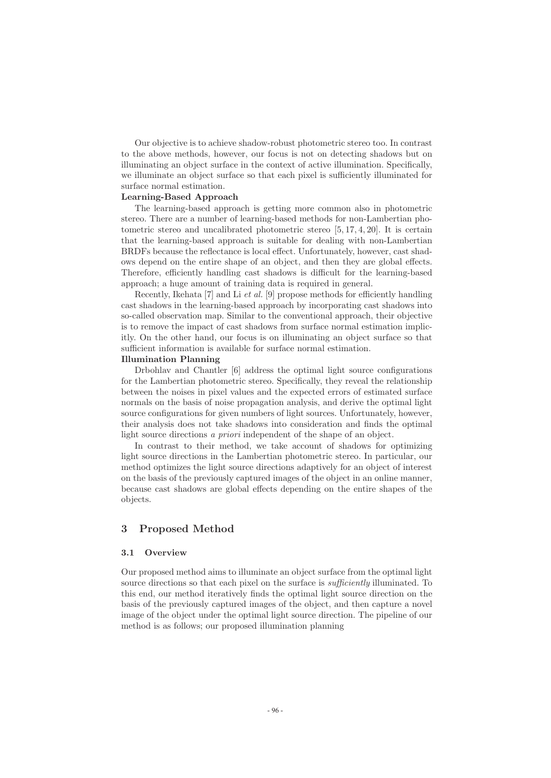Our objective is to achieve shadow-robust photometric stereo too. In contrast to the above methods, however, our focus is not on detecting shadows but on illuminating an object surface in the context of active illumination. Specifically, we illuminate an object surface so that each pixel is sufficiently illuminated for surface normal estimation.

#### **Learning-Based Approach**

The learning-based approach is getting more common also in photometric stereo. There are a number of learning-based methods for non-Lambertian photometric stereo and uncalibrated photometric stereo [5, 17, 4, 20]. It is certain that the learning-based approach is suitable for dealing with non-Lambertian BRDFs because the reflectance is local effect. Unfortunately, however, cast shadows depend on the entire shape of an object, and then they are global effects. Therefore, efficiently handling cast shadows is difficult for the learning-based approach; a huge amount of training data is required in general.

Recently, Ikehata [7] and Li et al. [9] propose methods for efficiently handling cast shadows in the learning-based approach by incorporating cast shadows into so-called observation map. Similar to the conventional approach, their objective is to remove the impact of cast shadows from surface normal estimation implicitly. On the other hand, our focus is on illuminating an object surface so that sufficient information is available for surface normal estimation.

### **Illumination Planning**

Drbohlav and Chantler [6] address the optimal light source configurations for the Lambertian photometric stereo. Specifically, they reveal the relationship between the noises in pixel values and the expected errors of estimated surface normals on the basis of noise propagation analysis, and derive the optimal light source configurations for given numbers of light sources. Unfortunately, however, their analysis does not take shadows into consideration and finds the optimal light source directions a priori independent of the shape of an object.

In contrast to their method, we take account of shadows for optimizing light source directions in the Lambertian photometric stereo. In particular, our method optimizes the light source directions adaptively for an object of interest on the basis of the previously captured images of the object in an online manner, because cast shadows are global effects depending on the entire shapes of the objects.

# **3 Proposed Method**

### **3.1 Overview**

Our proposed method aims to illuminate an object surface from the optimal light source directions so that each pixel on the surface is *sufficiently* illuminated. To this end, our method iteratively finds the optimal light source direction on the basis of the previously captured images of the object, and then capture a novel image of the object under the optimal light source direction. The pipeline of our method is as follows; our proposed illumination planning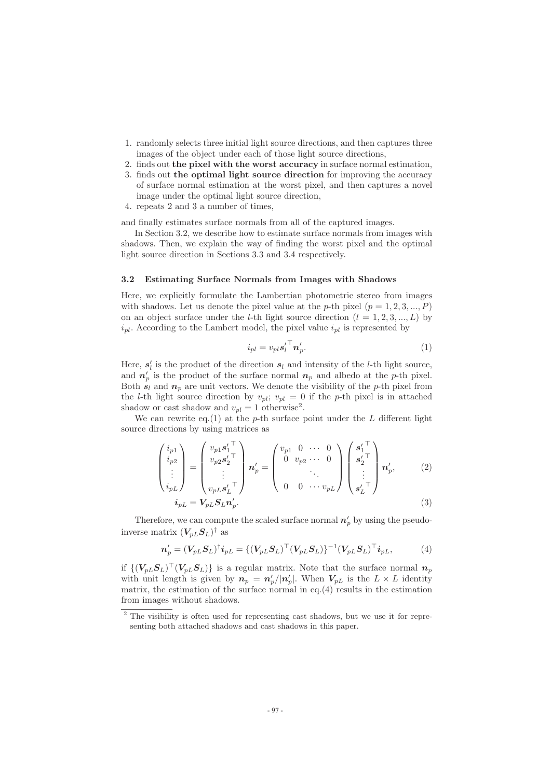- 1. randomly selects three initial light source directions, and then captures three images of the object under each of those light source directions,
- 2. finds out **the pixel with the worst accuracy** in surface normal estimation,
- 3. finds out **the optimal light source direction** for improving the accuracy of surface normal estimation at the worst pixel, and then captures a novel image under the optimal light source direction,
- 4. repeats 2 and 3 a number of times,

and finally estimates surface normals from all of the captured images.

In Section 3.2, we describe how to estimate surface normals from images with shadows. Then, we explain the way of finding the worst pixel and the optimal light source direction in Sections 3.3 and 3.4 respectively.

#### **3.2 Estimating Surface Normals from Images with Shadows**

Here, we explicitly formulate the Lambertian photometric stereo from images with shadows. Let us denote the pixel value at the p-th pixel  $(p = 1, 2, 3, ..., P)$ on an object surface under the *l*-th light source direction  $(l = 1, 2, 3, ..., L)$  by  $i_{pl}$ . According to the Lambert model, the pixel value  $i_{pl}$  is represented by

$$
i_{pl} = v_{pl} \mathbf{s}'_l^\top \mathbf{n}'_p. \tag{1}
$$

Here,  $s'_l$  is the product of the direction  $s_l$  and intensity of the *l*-th light source, and  $n'_p$  is the product of the surface normal  $n_p$  and albedo at the *p*-th pixel.<br>Both **s**, and **n** are unit vectors. We denote the visibility of the *n*-th pixel from Both  $s_l$  and  $n_p$  are unit vectors. We denote the visibility of the p-th pixel from the *l*-th light source direction by  $v_{pl}$ ;  $v_{pl} = 0$  if the *p*-th pixel is in attached shadow or cast shadow and  $v_{pl} = 1$  otherwise<sup>2</sup>.

We can rewrite eq.(1) at the p-th surface point under the  $L$  different light source directions by using matrices as

$$
\begin{pmatrix} i_{p1} \\ i_{p2} \\ \vdots \\ i_{pL} \end{pmatrix} = \begin{pmatrix} v_{p1} s_1' \\ v_{p2} s_2' \\ \vdots \\ v_{pL} s_L' \end{pmatrix} n_p' = \begin{pmatrix} v_{p1} & 0 & \cdots & 0 \\ 0 & v_{p2} & \cdots & 0 \\ \vdots & & \ddots & \vdots \\ 0 & 0 & \cdots & v_{pL} \end{pmatrix} \begin{pmatrix} s_1' \\ s_2' \\ \vdots \\ s_L' \end{pmatrix} n_p', \qquad (2)
$$

$$
i_{pL} = V_{pL} S_L n_p'.
$$

Therefore, we can compute the scaled surface normal  $n'_p$  by using the pseudo-<br>process in this ( $V \sim S$ ) is as inverse matrix  $(V_{pL}S_L)^{\dagger}$  as

$$
\boldsymbol{n}'_p = (\boldsymbol{V}_{pL}\boldsymbol{S}_L)^{\dagger}\boldsymbol{i}_{pL} = \{(\boldsymbol{V}_{pL}\boldsymbol{S}_L)^{\top}(\boldsymbol{V}_{pL}\boldsymbol{S}_L)\}^{-1}(\boldsymbol{V}_{pL}\boldsymbol{S}_L)^{\top}\boldsymbol{i}_{pL},
$$
\n(4)

if  $\{(\mathbf{V}_{pL}\mathbf{S}_L)^{\top}(\mathbf{V}_{pL}\mathbf{S}_L)\}\$ is a regular matrix. Note that the surface normal  $\mathbf{n}_p$ with unit length is given by  $n_p = n'_p/|n'_p|$ . When  $V_{pL}$  is the  $L \times L$  identity<br>matrix the estimation of the surface normal in eq. (4) results in the estimation matrix, the estimation of the surface normal in eq.(4) results in the estimation from images without shadows.

<sup>&</sup>lt;sup>2</sup> The visibility is often used for representing cast shadows, but we use it for representing both attached shadows and cast shadows in this paper.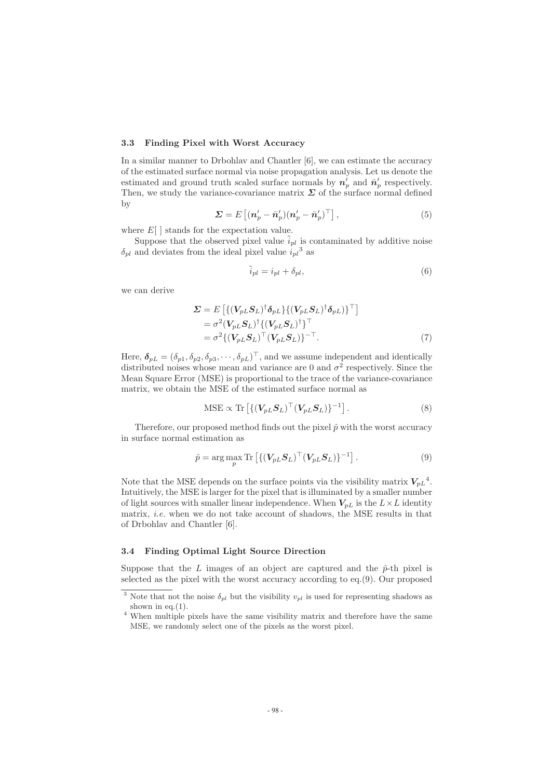#### **3.3 Finding Pixel with Worst Accuracy**

In a similar manner to Drbohlav and Chantler [6], we can estimate the accuracy of the estimated surface normal via noise propagation analysis. Let us denote the estimated and ground truth scaled surface normals by  $n'_p$  and  $\bar{n}'_p$  respectively.<br>Then we study the variance-covariance matrix  $\Sigma$  of the surface normal defined Then, we study the variance-covariance matrix  $\Sigma$  of the surface normal defined by

$$
\Sigma = E\left[ (\boldsymbol{n}'_p - \bar{\boldsymbol{n}}'_p)(\boldsymbol{n}'_p - \bar{\boldsymbol{n}}'_p)^\top \right],\tag{5}
$$

where  $E[\ ]$  stands for the expectation value.

Suppose that the observed pixel value  $\tilde{i}_{pl}$  is contaminated by additive noise  $\delta_{pl}$  and deviates from the ideal pixel value  $i_{pl}^{\dagger}{}^3$  as

$$
\tilde{i}_{pl} = i_{pl} + \delta_{pl},\tag{6}
$$

we can derive

$$
\Sigma = E\left[\left\{ (V_{pL}S_L)^{\dagger} \delta_{pL} \right\} \left\{ (V_{pL}S_L)^{\dagger} \delta_{pL} \right\}^{\top} \right] \n= \sigma^2 (V_{pL}S_L)^{\dagger} \left\{ (V_{pL}S_L)^{\dagger} \right\}^{\top} \n= \sigma^2 \left\{ (V_{pL}S_L)^{\top} (V_{pL}S_L) \right\}^{-\top}.
$$
\n(7)

Here,  $\delta_{pL} = (\delta_{p1}, \delta_{p2}, \delta_{p3}, \cdots, \delta_{pL})^\top$ , and we assume independent and identically distributed noises whose mean and variance are 0 and  $\sigma^2$  respectively. Since the Mean Square Error (MSE) is proportional to the trace of the variance-covariance matrix, we obtain the MSE of the estimated surface normal as

$$
\text{MSE} \propto \text{Tr}\left[ \{ (\boldsymbol{V}_{pL} \boldsymbol{S}_L)^\top (\boldsymbol{V}_{pL} \boldsymbol{S}_L) \}^{-1} \right]. \tag{8}
$$

Therefore, our proposed method finds out the pixel  $\hat{p}$  with the worst accuracy in surface normal estimation as

$$
\hat{p} = \arg\max_{p} \text{Tr}\left[\left\{ \left(\mathbf{V}_{pL}\mathbf{S}_{L}\right)^{\top}\left(\mathbf{V}_{pL}\mathbf{S}_{L}\right)\right\}^{-1}\right].\tag{9}
$$

Note that the MSE depends on the surface points via the visibility matrix  $V_{pL}^4$ .<br>Intuitively, the MSE is larger for the pixel that is illuminated by a smaller number Intuitively, the MSE is larger for the pixel that is illuminated by a smaller number of light sources with smaller linear independence. When  $V_{pL}$  is the  $L \times L$  identity matrix, i.e. when we do not take account of shadows, the MSE results in that of Drbohlav and Chantler [6].

#### **3.4 Finding Optimal Light Source Direction**

Suppose that the  $L$  images of an object are captured and the  $\hat{p}$ -th pixel is selected as the pixel with the worst accuracy according to eq.(9). Our proposed

<sup>&</sup>lt;sup>3</sup> Note that not the noise  $\delta_{pl}$  but the visibility  $v_{pl}$  is used for representing shadows as shown in eq. $(1)$ .

<sup>&</sup>lt;sup>4</sup> When multiple pixels have the same visibility matrix and therefore have the same MSE, we randomly select one of the pixels as the worst pixel.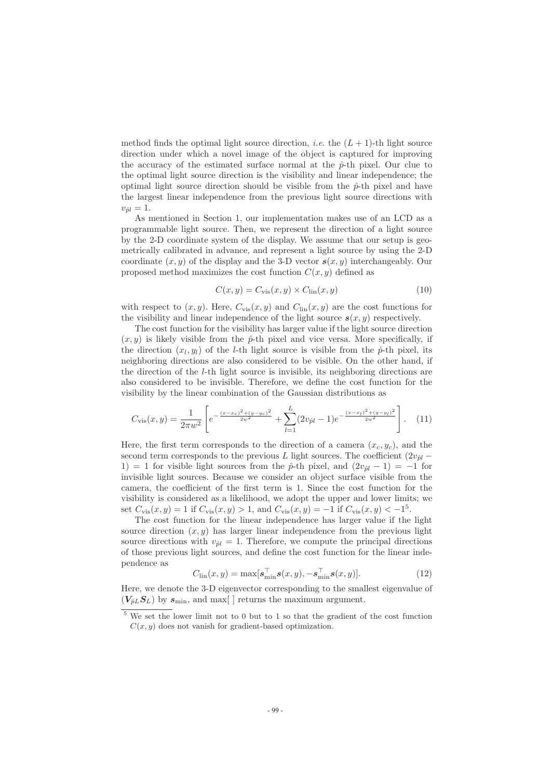method finds the optimal light source direction, *i.e.* the  $(L + 1)$ -th light source direction under which a novel image of the object is captured for improving the accuracy of the estimated surface normal at the  $\hat{p}$ -th pixel. Our clue to the optimal light source direction is the visibility and linear independence; the optimal light source direction should be visible from the  $\hat{p}$ -th pixel and have the largest linear independence from the previous light source directions with  $v_{\hat{p}l}=1.$ 

As mentioned in Section 1, our implementation makes use of an LCD as a programmable light source. Then, we represent the direction of a light source by the 2-D coordinate system of the display. We assume that our setup is geometrically calibrated in advance, and represent a light source by using the 2-D coordinate  $(x, y)$  of the display and the 3-D vector  $s(x, y)$  interchangeably. Our proposed method maximizes the cost function  $C(x, y)$  defined as

$$
C(x, y) = C_{\text{vis}}(x, y) \times C_{\text{lin}}(x, y)
$$
\n(10)

with respect to  $(x, y)$ . Here,  $C_{\text{vis}}(x, y)$  and  $C_{\text{lin}}(x, y)$  are the cost functions for the visibility and linear independence of the light source  $s(x, y)$  respectively.

The cost function for the visibility has larger value if the light source direction  $(x, y)$  is likely visible from the  $\hat{p}$ -th pixel and vice versa. More specifically, if the direction  $(x_l, y_l)$  of the *l*-th light source is visible from the  $\hat{p}$ -th pixel, its neighboring directions are also considered to be visible. On the other hand, if the direction of the l-th light source is invisible, its neighboring directions are also considered to be invisible. Therefore, we define the cost function for the visibility by the linear combination of the Gaussian distributions as

$$
C_{\text{vis}}(x,y) = \frac{1}{2\pi w^2} \left[ e^{-\frac{(x-x_c)^2 + (y-y_c)^2}{2w^2}} + \sum_{l=1}^{L} (2v_{\hat{pl}} - 1)e^{-\frac{(x-x_l)^2 + (y-y_l)^2}{2w^2}} \right].
$$
 (11)

Here, the first term corresponds to the direction of a camera  $(x_c, y_c)$ , and the second term corresponds to the previous L light sources. The coefficient  $(2v_{\hat{p}l} -$ 1) = 1 for visible light sources from the  $\hat{p}$ -th pixel, and  $(2v_{\hat{p}l} - 1) = -1$  for invisible light sources. Because we consider an object surface visible from the camera, the coefficient of the first term is 1. Since the cost function for the visibility is considered as a likelihood, we adopt the upper and lower limits; we set  $C_{\text{vis}}(x, y) = 1$  if  $C_{\text{vis}}(x, y) > 1$ , and  $C_{\text{vis}}(x, y) = -1$  if  $C_{\text{vis}}(x, y) < -1^5$ .

The cost function for the linear independence has larger value if the light source direction  $(x, y)$  has larger linear independence from the previous light source directions with  $v_{\hat{n}} = 1$ . Therefore, we compute the principal directions of those previous light sources, and define the cost function for the linear independence as

$$
C_{\text{lin}}(x, y) = \max[\mathbf{s}_{\text{min}}^{\top} \mathbf{s}(x, y), -\mathbf{s}_{\text{min}}^{\top} \mathbf{s}(x, y)].
$$
\n(12)

Here, we denote the 3-D eigenvector corresponding to the smallest eigenvalue of  $(V_{\hat{p}L}S_L)$  by  $s_{\min}$ , and max[] returns the maximum argument.

 $5$  We set the lower limit not to 0 but to 1 so that the gradient of the cost function  $C(x, y)$  does not vanish for gradient-based optimization.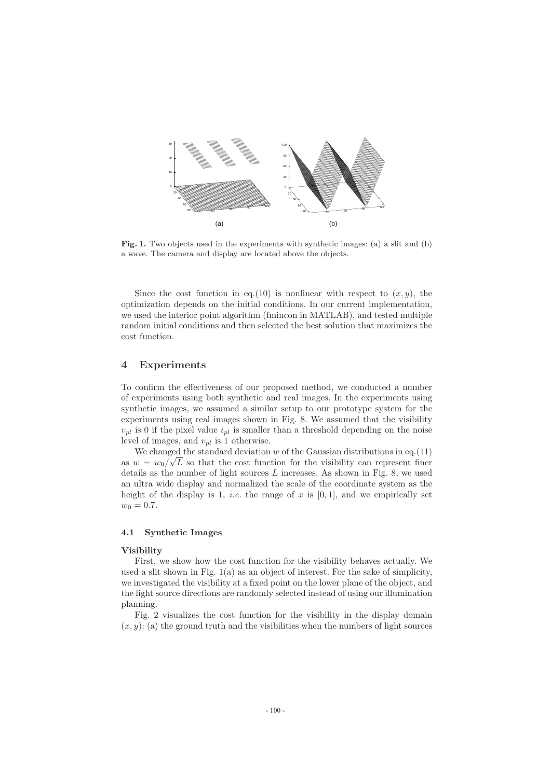

**Fig. 1.** Two objects used in the experiments with synthetic images: (a) a slit and (b) a wave. The camera and display are located above the objects.

Since the cost function in eq.(10) is nonlinear with respect to  $(x, y)$ , the optimization depends on the initial conditions. In our current implementation, we used the interior point algorithm (fmincon in MATLAB), and tested multiple random initial conditions and then selected the best solution that maximizes the cost function.

# **4 Experiments**

To confirm the effectiveness of our proposed method, we conducted a number of experiments using both synthetic and real images. In the experiments using synthetic images, we assumed a similar setup to our prototype system for the experiments using real images shown in Fig. 8. We assumed that the visibility  $v_{pl}$  is 0 if the pixel value  $i_{pl}$  is smaller than a threshold depending on the noise level of images, and  $v_{pl}$  is 1 otherwise.

We changed the standard deviation  $w$  of the Gaussian distributions in eq.(11) as  $w = w_0 / \sqrt{L}$  so that the cost function for the visibility can represent finer details as the number of light sources  $L$  increases. As shown in Fig. 8, we used an ultra wide display and normalized the scale of the coordinate system as the height of the display is 1, *i.e.* the range of x is  $[0, 1]$ , and we empirically set  $w_0 = 0.7$ .

### **4.1 Synthetic Images**

#### **Visibility**

First, we show how the cost function for the visibility behaves actually. We used a slit shown in Fig.  $1(a)$  as an object of interest. For the sake of simplicity, we investigated the visibility at a fixed point on the lower plane of the object, and the light source directions are randomly selected instead of using our illumination planning.

Fig. 2 visualizes the cost function for the visibility in the display domain  $(x, y)$ : (a) the ground truth and the visibilities when the numbers of light sources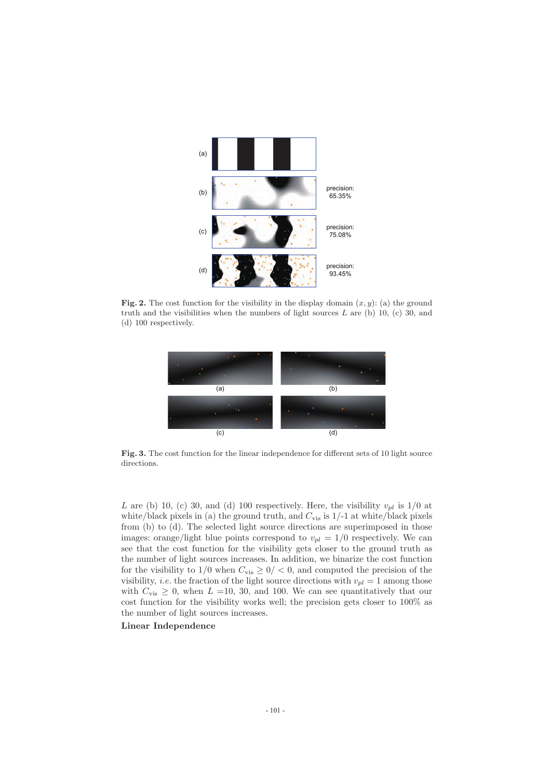

Fig. 2. The cost function for the visibility in the display domain  $(x, y)$ : (a) the ground truth and the visibilities when the numbers of light sources  $L$  are (b) 10, (c) 30, and (d) 100 respectively.



**Fig. 3.** The cost function for the linear independence for different sets of 10 light source directions.

L are (b) 10, (c) 30, and (d) 100 respectively. Here, the visibility  $v_{pl}$  is 1/0 at white/black pixels in (a) the ground truth, and  $C_{\text{vis}}$  is  $1/-1$  at white/black pixels from (b) to (d). The selected light source directions are superimposed in those images: orange/light blue points correspond to  $v_{pl} = 1/0$  respectively. We can see that the cost function for the visibility gets closer to the ground truth as the number of light sources increases. In addition, we binarize the cost function for the visibility to  $1/0$  when  $C_{\text{vis}} \geq 0/ < 0$ , and computed the precision of the visibility, *i.e.* the fraction of the light source directions with  $v_{pl} = 1$  among those with  $C_{\text{vis}} \geq 0$ , when  $L = 10$ , 30, and 100. We can see quantitatively that our cost function for the visibility works well; the precision gets closer to 100% as the number of light sources increases.

### **Linear Independence**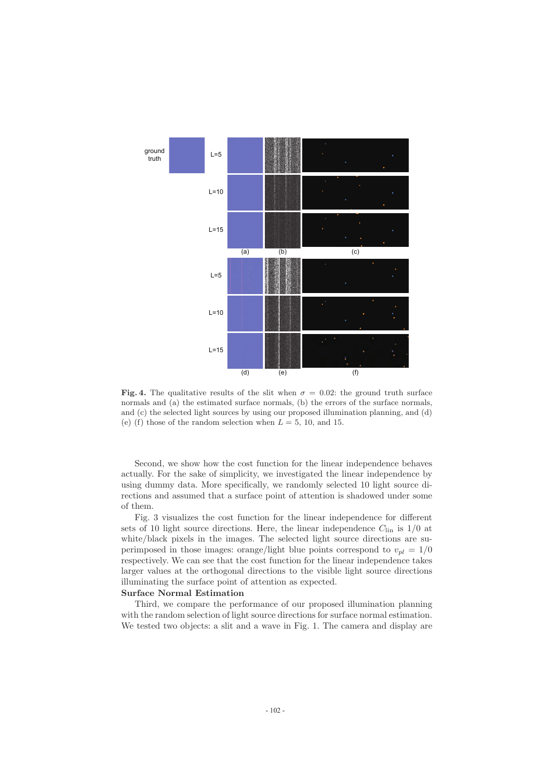

**Fig. 4.** The qualitative results of the slit when  $\sigma = 0.02$ : the ground truth surface normals and (a) the estimated surface normals, (b) the errors of the surface normals, and (c) the selected light sources by using our proposed illumination planning, and (d) (e) (f) those of the random selection when  $L = 5, 10,$  and 15.

Second, we show how the cost function for the linear independence behaves actually. For the sake of simplicity, we investigated the linear independence by using dummy data. More specifically, we randomly selected 10 light source directions and assumed that a surface point of attention is shadowed under some of them.

Fig. 3 visualizes the cost function for the linear independence for different sets of 10 light source directions. Here, the linear independence  $C_{lin}$  is 1/0 at white/black pixels in the images. The selected light source directions are superimposed in those images: orange/light blue points correspond to  $v_{pl} = 1/0$ respectively. We can see that the cost function for the linear independence takes larger values at the orthogonal directions to the visible light source directions illuminating the surface point of attention as expected.

# **Surface Normal Estimation**

Third, we compare the performance of our proposed illumination planning with the random selection of light source directions for surface normal estimation. We tested two objects: a slit and a wave in Fig. 1. The camera and display are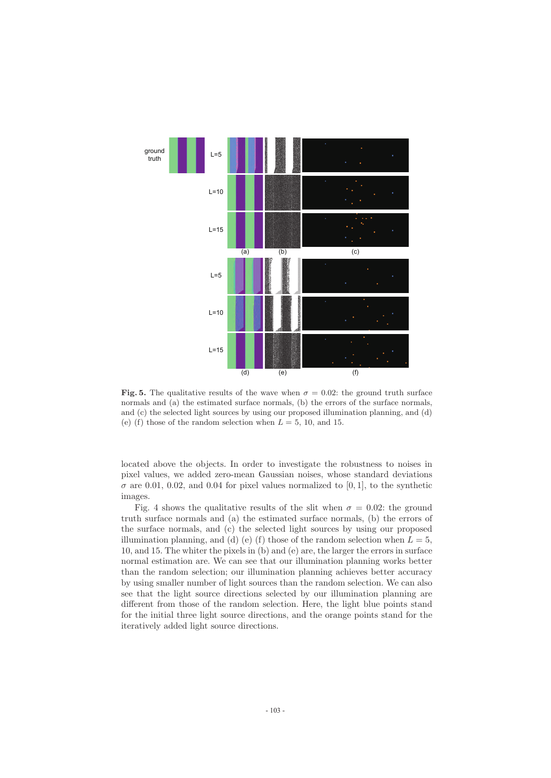

**Fig. 5.** The qualitative results of the wave when  $\sigma = 0.02$ : the ground truth surface normals and (a) the estimated surface normals, (b) the errors of the surface normals, and (c) the selected light sources by using our proposed illumination planning, and (d) (e) (f) those of the random selection when  $L = 5, 10,$  and 15.

located above the objects. In order to investigate the robustness to noises in pixel values, we added zero-mean Gaussian noises, whose standard deviations  $\sigma$  are 0.01, 0.02, and 0.04 for pixel values normalized to [0,1], to the synthetic images.

Fig. 4 shows the qualitative results of the slit when  $\sigma = 0.02$ : the ground truth surface normals and (a) the estimated surface normals, (b) the errors of the surface normals, and (c) the selected light sources by using our proposed illumination planning, and (d) (e) (f) those of the random selection when  $L = 5$ , 10, and 15. The whiter the pixels in (b) and (e) are, the larger the errors in surface normal estimation are. We can see that our illumination planning works better than the random selection; our illumination planning achieves better accuracy by using smaller number of light sources than the random selection. We can also see that the light source directions selected by our illumination planning are different from those of the random selection. Here, the light blue points stand for the initial three light source directions, and the orange points stand for the iteratively added light source directions.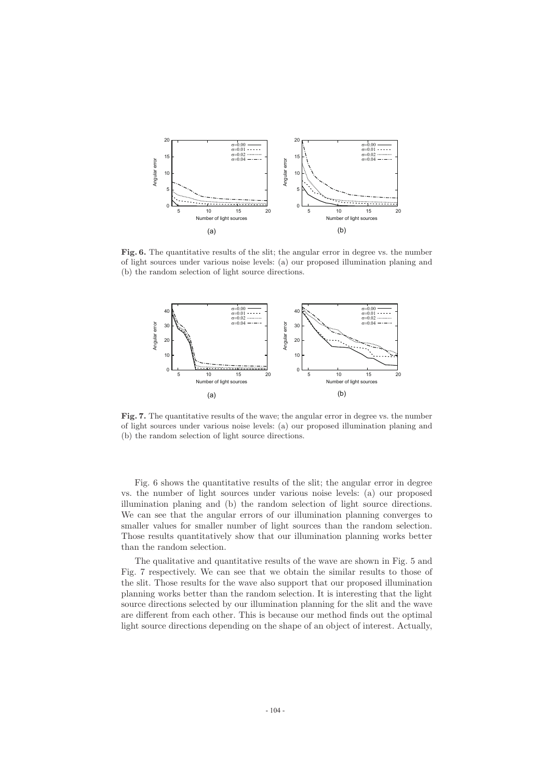

Fig. 6. The quantitative results of the slit; the angular error in degree vs. the number of light sources under various noise levels: (a) our proposed illumination planing and (b) the random selection of light source directions.



Fig. 7. The quantitative results of the wave; the angular error in degree vs. the number of light sources under various noise levels: (a) our proposed illumination planing and (b) the random selection of light source directions.

Fig. 6 shows the quantitative results of the slit; the angular error in degree vs. the number of light sources under various noise levels: (a) our proposed illumination planing and (b) the random selection of light source directions. We can see that the angular errors of our illumination planning converges to smaller values for smaller number of light sources than the random selection. Those results quantitatively show that our illumination planning works better than the random selection.

The qualitative and quantitative results of the wave are shown in Fig. 5 and Fig. 7 respectively. We can see that we obtain the similar results to those of the slit. Those results for the wave also support that our proposed illumination planning works better than the random selection. It is interesting that the light source directions selected by our illumination planning for the slit and the wave are different from each other. This is because our method finds out the optimal light source directions depending on the shape of an object of interest. Actually,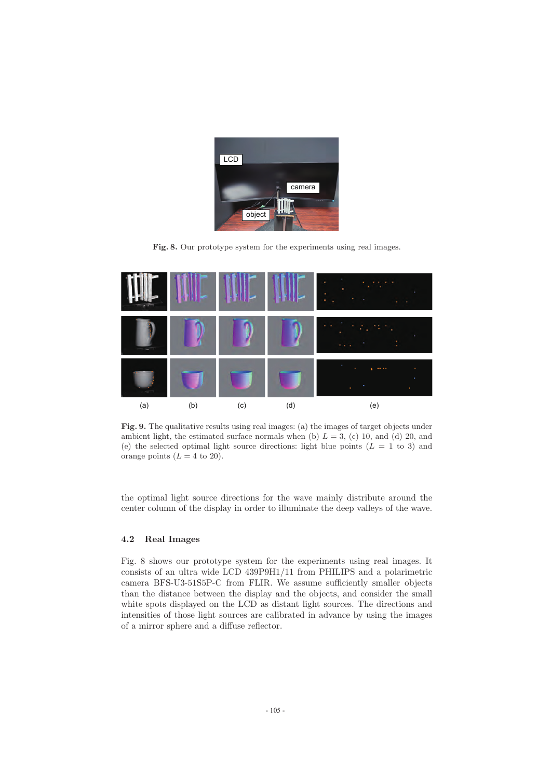

**Fig. 8.** Our prototype system for the experiments using real images.



Fig. 9. The qualitative results using real images: (a) the images of target objects under ambient light, the estimated surface normals when (b)  $L = 3$ , (c) 10, and (d) 20, and (e) the selected optimal light source directions: light blue points  $(L = 1 \text{ to } 3)$  and orange points  $(L = 4$  to 20).

the optimal light source directions for the wave mainly distribute around the center column of the display in order to illuminate the deep valleys of the wave.

# **4.2 Real Images**

Fig. 8 shows our prototype system for the experiments using real images. It consists of an ultra wide LCD 439P9H1/11 from PHILIPS and a polarimetric camera BFS-U3-51S5P-C from FLIR. We assume sufficiently smaller objects than the distance between the display and the objects, and consider the small white spots displayed on the LCD as distant light sources. The directions and intensities of those light sources are calibrated in advance by using the images of a mirror sphere and a diffuse reflector.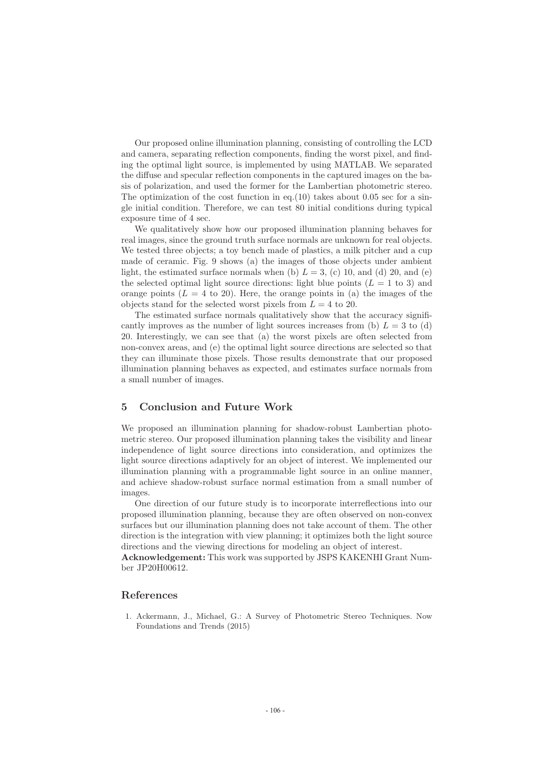Our proposed online illumination planning, consisting of controlling the LCD and camera, separating reflection components, finding the worst pixel, and finding the optimal light source, is implemented by using MATLAB. We separated the diffuse and specular reflection components in the captured images on the basis of polarization, and used the former for the Lambertian photometric stereo. The optimization of the cost function in eq.  $(10)$  takes about 0.05 sec for a single initial condition. Therefore, we can test 80 initial conditions during typical exposure time of 4 sec.

We qualitatively show how our proposed illumination planning behaves for real images, since the ground truth surface normals are unknown for real objects. We tested three objects; a toy bench made of plastics, a milk pitcher and a cup made of ceramic. Fig. 9 shows (a) the images of those objects under ambient light, the estimated surface normals when (b)  $L = 3$ , (c) 10, and (d) 20, and (e) the selected optimal light source directions: light blue points  $(L = 1 \text{ to } 3)$  and orange points  $(L = 4 \text{ to } 20)$ . Here, the orange points in (a) the images of the objects stand for the selected worst pixels from  $L = 4$  to 20.

The estimated surface normals qualitatively show that the accuracy significantly improves as the number of light sources increases from (b)  $L = 3$  to (d) 20. Interestingly, we can see that (a) the worst pixels are often selected from non-convex areas, and (e) the optimal light source directions are selected so that they can illuminate those pixels. Those results demonstrate that our proposed illumination planning behaves as expected, and estimates surface normals from a small number of images.

# **5 Conclusion and Future Work**

We proposed an illumination planning for shadow-robust Lambertian photometric stereo. Our proposed illumination planning takes the visibility and linear independence of light source directions into consideration, and optimizes the light source directions adaptively for an object of interest. We implemented our illumination planning with a programmable light source in an online manner, and achieve shadow-robust surface normal estimation from a small number of images.

One direction of our future study is to incorporate interreflections into our proposed illumination planning, because they are often observed on non-convex surfaces but our illumination planning does not take account of them. The other direction is the integration with view planning; it optimizes both the light source directions and the viewing directions for modeling an object of interest.

**Acknowledgement:** This work was supported by JSPS KAKENHI Grant Number JP20H00612.

# **References**

1. Ackermann, J., Michael, G.: A Survey of Photometric Stereo Techniques. Now Foundations and Trends (2015)